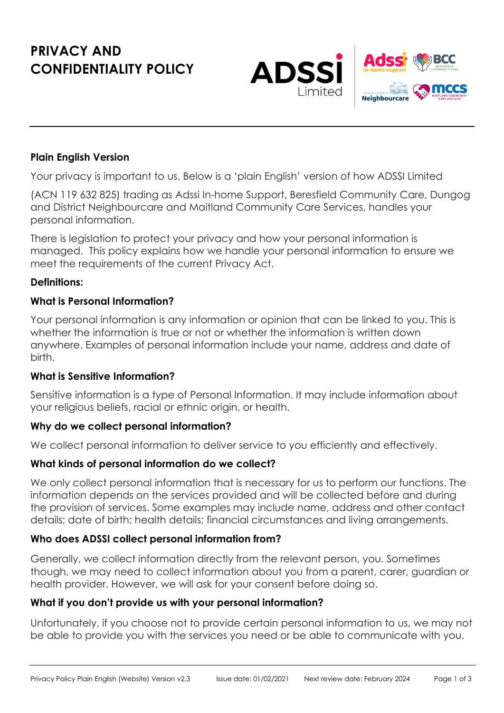# **PRIVACY AND CONFIDENTIALITY POLICY**



#### **Plain English Version**

Your privacy is important to us. Below is a 'plain English' version of how ADSSI Limited

(ACN 119 632 825) trading as Adssi In-home Support, Beresfield Community Care, Dungog and District Neighbourcare and Maitland Community Care Services, handles your personal information.

There is legislation to protect your privacy and how your personal information is managed. This policy explains how we handle your personal information to ensure we meet the requirements of the current Privacy Act.

#### **Definitions:**

#### **What is Personal Information?**

Your personal information is any information or opinion that can be linked to you. This is whether the information is true or not or whether the information is written down anywhere. Examples of personal information include your name, address and date of birth.

#### **What is Sensitive Information?**

Sensitive information is a type of Personal Information. It may include information about your religious beliefs, racial or ethnic origin, or health.

#### **Why do we collect personal information?**

We collect personal information to deliver service to you efficiently and effectively.

#### **What kinds of personal information do we collect?**

We only collect personal information that is necessary for us to perform our functions. The information depends on the services provided and will be collected before and during the provision of services. Some examples may include name, address and other contact details; date of birth; health details; financial circumstances and living arrangements.

#### **Who does ADSSI collect personal information from?**

Generally, we collect information directly from the relevant person, you. Sometimes though, we may need to collect information about you from a parent, carer, guardian or health provider. However, we will ask for your consent before doing so.

#### **What if you don't provide us with your personal information?**

Unfortunately, if you choose not to provide certain personal information to us, we may not be able to provide you with the services you need or be able to communicate with you.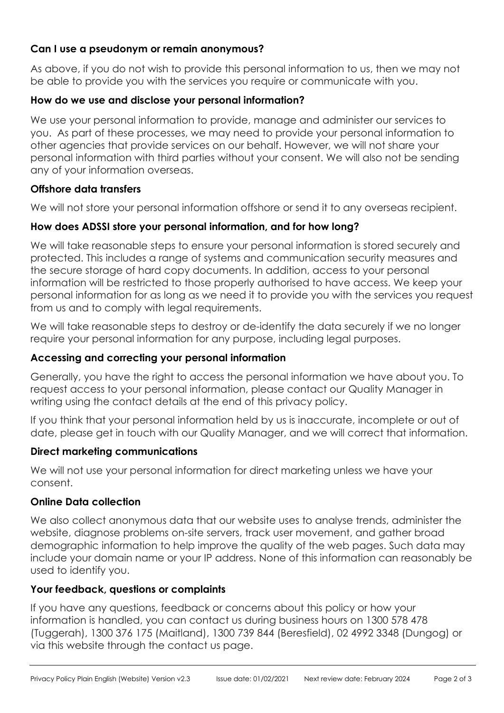### **Can I use a pseudonym or remain anonymous?**

As above, if you do not wish to provide this personal information to us, then we may not be able to provide you with the services you require or communicate with you.

## **How do we use and disclose your personal information?**

We use your personal information to provide, manage and administer our services to you. As part of these processes, we may need to provide your personal information to other agencies that provide services on our behalf. However, we will not share your personal information with third parties without your consent. We will also not be sending any of your information overseas.

### **Offshore data transfers**

We will not store your personal information offshore or send it to any overseas recipient.

# **How does ADSSI store your personal information, and for how long?**

We will take reasonable steps to ensure your personal information is stored securely and protected. This includes a range of systems and communication security measures and the secure storage of hard copy documents. In addition, access to your personal information will be restricted to those properly authorised to have access. We keep your personal information for as long as we need it to provide you with the services you request from us and to comply with legal requirements.

We will take reasonable steps to destroy or de-identify the data securely if we no longer require your personal information for any purpose, including legal purposes.

### **Accessing and correcting your personal information**

Generally, you have the right to access the personal information we have about you. To request access to your personal information, please contact our Quality Manager in writing using the contact details at the end of this privacy policy.

If you think that your personal information held by us is inaccurate, incomplete or out of date, please get in touch with our Quality Manager, and we will correct that information.

# **Direct marketing communications**

We will not use your personal information for direct marketing unless we have your consent.

# **Online Data collection**

We also collect anonymous data that our website uses to analyse trends, administer the website, diagnose problems on-site servers, track user movement, and gather broad demographic information to help improve the quality of the web pages. Such data may include your domain name or your IP address. None of this information can reasonably be used to identify you.

# **Your feedback, questions or complaints**

If you have any questions, feedback or concerns about this policy or how your information is handled, you can contact us during business hours on 1300 578 478 (Tuggerah), 1300 376 175 (Maitland), 1300 739 844 (Beresfield), 02 4992 3348 (Dungog) or via this website through the contact us page.